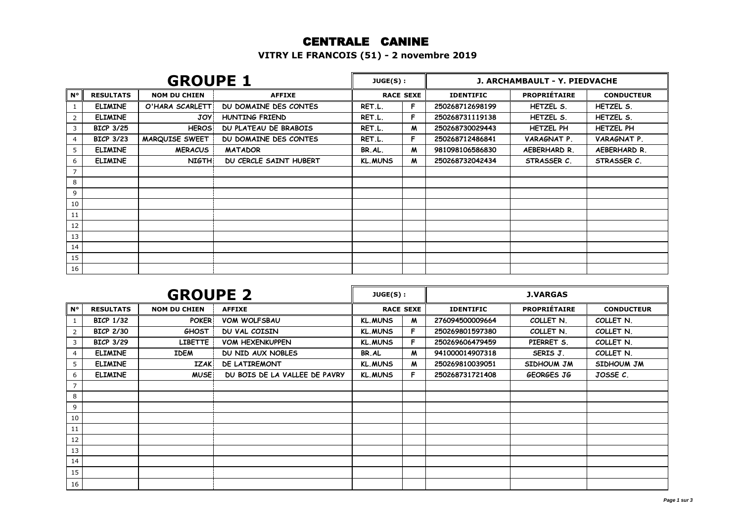## CENTRALE CANINE

**VITRY LE FRANCOIS (51) - 2 novembre 2019**

| <b>GROUPE 1</b> |                  |                       |                        | JUGE(S):       |                  | J. ARCHAMBAULT - Y. PIEDVACHE |                     |                   |  |
|-----------------|------------------|-----------------------|------------------------|----------------|------------------|-------------------------------|---------------------|-------------------|--|
| $N^{\circ}$     | <b>RESULTATS</b> | <b>NOM DU CHIEN</b>   | <b>AFFIXE</b>          |                | <b>RACE SEXE</b> | <b>IDENTIFIC</b>              | <b>PROPRIÉTAIRE</b> | <b>CONDUCTEUR</b> |  |
|                 | <b>ELIMINE</b>   | O'HARA SCARLETT       | DU DOMAINE DES CONTES  | RET.L.         | F.               | 250268712698199               | HETZEL S.           | HETZEL S.         |  |
| 2               | <b>ELIMINE</b>   | <b>JOY</b>            | HUNTING FRIEND         | RET.L.         | F                | 250268731119138               | HETZEL S.           | HETZEL S.         |  |
| 3               | <b>BICP 3/25</b> | <b>HEROS</b>          | DU PLATEAU DE BRABOIS  | RET.L.         | M                | 250268730029443               | <b>HETZEL PH</b>    | <b>HETZEL PH</b>  |  |
| 4               | <b>BICP 3/23</b> | <b>MARQUISE SWEET</b> | DU DOMAINE DES CONTES  | RET.L.         | F                | 250268712486841               | VARAGNAT P.         | VARAGNAT P.       |  |
| 5               | <b>ELIMINE</b>   | <b>MERACUS</b>        | <b>MATADOR</b>         | BR.AL.         | M                | 981098106586830               | AEBERHARD R.        | AEBERHARD R.      |  |
| 6               | <b>ELIMINE</b>   | <b>NIGTH</b>          | DU CERCLE SAINT HUBERT | <b>KL.MUNS</b> | M                | 250268732042434               | STRASSER C.         | STRASSER C.       |  |
|                 |                  |                       |                        |                |                  |                               |                     |                   |  |
| 8               |                  |                       |                        |                |                  |                               |                     |                   |  |
| 9               |                  |                       |                        |                |                  |                               |                     |                   |  |
| 10              |                  |                       |                        |                |                  |                               |                     |                   |  |
| 11              |                  |                       |                        |                |                  |                               |                     |                   |  |
| 12              |                  |                       |                        |                |                  |                               |                     |                   |  |
| 13              |                  |                       |                        |                |                  |                               |                     |                   |  |
| 14              |                  |                       |                        |                |                  |                               |                     |                   |  |
| 15              |                  |                       |                        |                |                  |                               |                     |                   |  |
| 16              |                  |                       |                        |                |                  |                               |                     |                   |  |

| <b>GROUPE 2</b> |                  |                     |                               | $JUGE(S)$ :    |                  |                  | <b>J.VARGAS</b>     |                   |  |
|-----------------|------------------|---------------------|-------------------------------|----------------|------------------|------------------|---------------------|-------------------|--|
| $N^{\circ}$     | <b>RESULTATS</b> | <b>NOM DU CHIEN</b> | <b>AFFIXE</b>                 |                | <b>RACE SEXE</b> | <b>IDENTIFIC</b> | <b>PROPRIÉTAIRE</b> | <b>CONDUCTEUR</b> |  |
|                 | <b>BICP 1/32</b> | <b>POKER</b>        | <b>VOM WOLFSBAU</b>           | <b>KL.MUNS</b> | M                | 276094500009664  | COLLET N.           | COLLET N.         |  |
| 2               | <b>BICP 2/30</b> | <b>GHOST</b>        | DU VAL COISIN                 | <b>KL.MUNS</b> | F                | 250269801597380  | COLLET N.           | COLLET N.         |  |
| 3               | <b>BICP 3/29</b> | <b>LIBETTE</b>      | <b>VOM HEXENKUPPEN</b>        | <b>KL.MUNS</b> | F                | 250269606479459  | PIERRET S.          | COLLET N.         |  |
| 4               | <b>ELIMINE</b>   | <b>IDEM</b>         | DU NID AUX NOBLES             | BR.AL          | M                | 941000014907318  | SERIS J.            | COLLET N.         |  |
| 5               | <b>ELIMINE</b>   | <b>IZAK</b>         | DE LATIREMONT                 | <b>KL.MUNS</b> | M                | 250269810039051  | SIDHOUM JM          | SIDHOUM JM        |  |
| 6               | <b>ELIMINE</b>   | <b>MUSE</b>         | DU BOIS DE LA VALLEE DE PAVRY | <b>KL.MUNS</b> | F.               | 250268731721408  | GEORGES JG          | JOSSE C.          |  |
| $\overline{7}$  |                  |                     |                               |                |                  |                  |                     |                   |  |
| 8               |                  |                     |                               |                |                  |                  |                     |                   |  |
| 9               |                  |                     |                               |                |                  |                  |                     |                   |  |
| 10              |                  |                     |                               |                |                  |                  |                     |                   |  |
| 11              |                  |                     |                               |                |                  |                  |                     |                   |  |
| 12              |                  |                     |                               |                |                  |                  |                     |                   |  |
| 13              |                  |                     |                               |                |                  |                  |                     |                   |  |
| 14              |                  |                     |                               |                |                  |                  |                     |                   |  |
| 15              |                  |                     |                               |                |                  |                  |                     |                   |  |
| 16              |                  |                     |                               |                |                  |                  |                     |                   |  |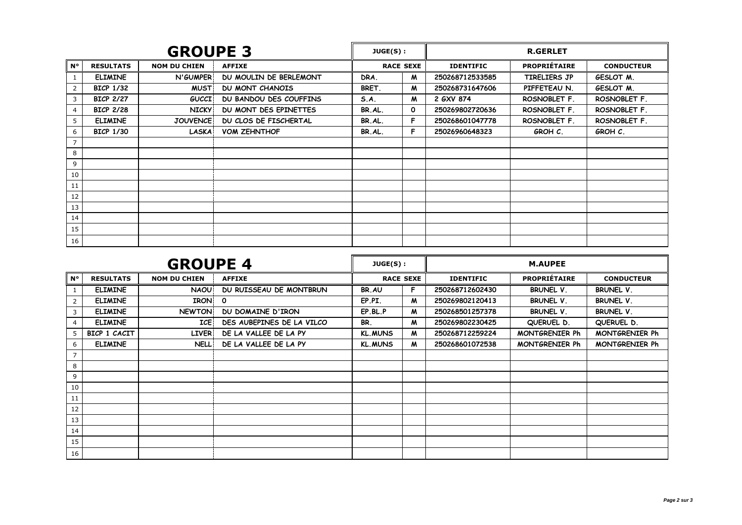|                | <b>GROUPE 3</b>  |                     |                        |        | <b>R.GERLET</b><br>JUGE(S): |                           |                     |                   |
|----------------|------------------|---------------------|------------------------|--------|-----------------------------|---------------------------|---------------------|-------------------|
| <b>N°</b>      | <b>RESULTATS</b> | <b>NOM DU CHIEN</b> | <b>AFFIXE</b>          |        | <b>RACE SEXE</b>            | <b>IDENTIFIC</b>          | <b>PROPRIÉTAIRE</b> | <b>CONDUCTEUR</b> |
|                | <b>ELIMINE</b>   | N'GUMPER            | DU MOULIN DE BERLEMONT | DRA.   | M                           | 250268712533585           | TIRELIERS JP        | GESLOT M.         |
| $\overline{2}$ | <b>BICP 1/32</b> | <b>MUST</b>         | <b>DU MONT CHANOIS</b> | BRET.  | M                           | 250268731647606           | PIFFETEAU N.        | GESLOT M.         |
| 3              | <b>BICP 2/27</b> | <b>GUCCI</b>        | DU BANDOU DES COUFFINS | S.A.   | M                           | 2 GXV 874                 | ROSNOBLET F.        | ROSNOBLET F.      |
| 4              | <b>BICP 2/28</b> | <b>NICKY</b>        | DU MONT DES EPINETTES  | BR.AL. | O                           | 250269802720636           | ROSNOBLET F.        | ROSNOBLET F.      |
| 5              | <b>ELIMINE</b>   | <b>JOUVENCE</b>     | DU CLOS DE FISCHERTAL  | BR.AL. | F                           | 250268601047778           | ROSNOBLET F.        | ROSNOBLET F.      |
| 6              | <b>BICP 1/30</b> | <b>LASKA</b>        | <b>VOM ZEHNTHOF</b>    | BR.AL. | F                           | 25026960648323<br>GROH C. |                     | GROH C.           |
| $\overline{7}$ |                  |                     |                        |        |                             |                           |                     |                   |
| 8              |                  |                     |                        |        |                             |                           |                     |                   |
| 9              |                  |                     |                        |        |                             |                           |                     |                   |
| 10             |                  |                     |                        |        |                             |                           |                     |                   |
| 11             |                  |                     |                        |        |                             |                           |                     |                   |
| 12             |                  |                     |                        |        |                             |                           |                     |                   |
| 13             |                  |                     |                        |        |                             |                           |                     |                   |
| 14             |                  |                     |                        |        |                             |                           |                     |                   |
| 15             |                  |                     |                        |        |                             |                           |                     |                   |
| 16             |                  |                     |                        |        |                             |                           |                     |                   |

|                | <b>GROUPE 4</b>  |                     |                           |                | JUGE(S):         |                  |                       |                       |
|----------------|------------------|---------------------|---------------------------|----------------|------------------|------------------|-----------------------|-----------------------|
| N۰             | <b>RESULTATS</b> | <b>NOM DU CHIEN</b> | <b>AFFIXE</b>             |                | <b>RACE SEXE</b> | <b>IDENTIFIC</b> | <b>PROPRIÉTAIRE</b>   | <b>CONDUCTEUR</b>     |
| 1              | <b>ELIMINE</b>   | <b>NAOU</b>         | DU RUISSEAU DE MONTBRUN   | BR.AU          | F                | 250268712602430  | BRUNEL V.             | <b>BRUNEL V.</b>      |
| $\overline{2}$ | <b>ELIMINE</b>   | <b>IRON</b>         | $\mathbf{o}$              | EP.PI.         | M                | 250269802120413  | <b>BRUNEL V.</b>      | <b>BRUNEL V.</b>      |
| 3              | <b>ELIMINE</b>   | <b>NEWTON</b>       | DU DOMAINE D'IRON         | EP.BL.P        | M                | 250268501257378  | <b>BRUNEL V.</b>      | <b>BRUNEL V.</b>      |
| 4              | <b>ELIMINE</b>   | <b>ICE</b>          | DES AUBEPINES DE LA VILCO | BR.            | M                | 250269802230425  | QUERUEL D.            | QUERUEL D.            |
| 5              | BICP 1 CACIT     | <b>LIVER</b>        | DE LA VALLEE DE LA PY     | <b>KL.MUNS</b> | M                | 250268712259224  | <b>MONTGRENIER Ph</b> | <b>MONTGRENIER Ph</b> |
| 6              | <b>ELIMINE</b>   | <b>NELL</b>         | DE LA VALLEE DE LA PY     | <b>KL.MUNS</b> | M                | 250268601072538  | MONTGRENIER Ph        | <b>MONTGRENIER Ph</b> |
| $\overline{7}$ |                  |                     |                           |                |                  |                  |                       |                       |
| 8              |                  |                     |                           |                |                  |                  |                       |                       |
| 9              |                  |                     |                           |                |                  |                  |                       |                       |
| 10             |                  |                     |                           |                |                  |                  |                       |                       |
| 11             |                  |                     |                           |                |                  |                  |                       |                       |
| 12             |                  |                     |                           |                |                  |                  |                       |                       |
| 13             |                  |                     |                           |                |                  |                  |                       |                       |
| 14             |                  |                     |                           |                |                  |                  |                       |                       |
| 15             |                  |                     |                           |                |                  |                  |                       |                       |
| 16             |                  |                     |                           |                |                  |                  |                       |                       |